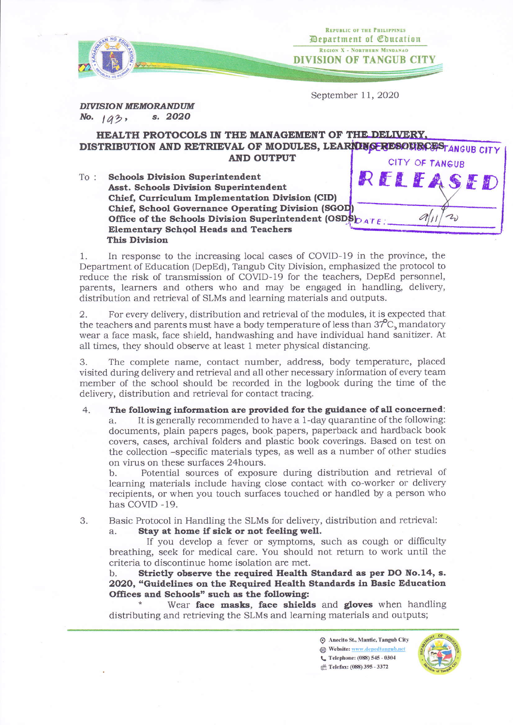

**REPUBLIC OF THE PHILIPPINES** Department of Coucation REGION X - NORTHERN MINDANAO **DIVISION OF TANGUB CITY** 

 $dl_{ll}$ 

 $2)$ 

September 11, 2020

**DIVISION MEMORANDUM**  $s. 2020$ No.  $1a3$ ,

## HEALTH PROTOCOLS IN THE MANAGEMENT OF THE DELIVERY, DISTRIBUTION AND RETRIEVAL OF MODULES, LEARAINGERESOURCES TANGUB CITY **AND OUTPUT** CITY OF TANGUB

RELEASE **Schools Division Superintendent**  $To:$ **Asst. Schools Division Superintendent** Chief, Curriculum Implementation Division (CID) Chief, School Governance Operating Division (SGOD) Office of the Schools Division Superintendent (OSDS)  $_{ATE}$ **Elementary School Heads and Teachers This Division** 

In response to the increasing local cases of COVID-19 in the province, the 1. Department of Education (DepEd), Tangub City Division, emphasized the protocol to reduce the risk of transmission of COVID-19 for the teachers, DepEd personnel, parents, learners and others who and may be engaged in handling, delivery, distribution and retrieval of SLMs and learning materials and outputs.

2. For every delivery, distribution and retrieval of the modules, it is expected that the teachers and parents must have a body temperature of less than  $37^{\circ}$ C, mandatory wear a face mask, face shield, handwashing and have individual hand sanitizer. At all times, they should observe at least 1 meter physical distancing.

The complete name, contact number, address, body temperature, placed 3. visited during delivery and retrieval and all other necessary information of every team member of the school should be recorded in the logbook during the time of the delivery, distribution and retrieval for contact tracing.

The following information are provided for the guidance of all concerned:  $4.$ It is generally recommended to have a 1-day quarantine of the following: documents, plain papers pages, book papers, paperback and hardback book covers, cases, archival folders and plastic book coverings. Based on test on the collection -specific materials types, as well as a number of other studies on virus on these surfaces 24 hours.

Potential sources of exposure during distribution and retrieval of  $h$ learning materials include having close contact with co-worker or delivery recipients, or when you touch surfaces touched or handled by a person who has COVID-19.

Basic Protocol in Handling the SLMs for delivery, distribution and retrieval:

Stay at home if sick or not feeling well.

If you develop a fever or symptoms, such as cough or difficulty breathing, seek for medical care. You should not return to work until the criteria to discontinue home isolation are met.

Strictly observe the required Health Standard as per DO No.14, s. b. 2020, "Guidelines on the Required Health Standards in Basic Education Offices and Schools" such as the following:

Wear face masks, face shields and gloves when handling distributing and retrieving the SLMs and learning materials and outputs;

> Anecito St., Mantic, Tangub City Website: www.depedtangub.net € Telephone: (088) 545 - 0304 r<sup>th</sup> Telefax: (088) 395 - 3372



3.